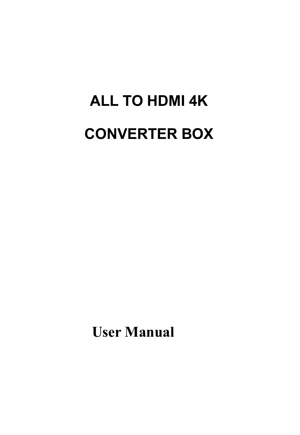# **ALL TO HDMI 4K CONVERTER BOX**

**User Manual**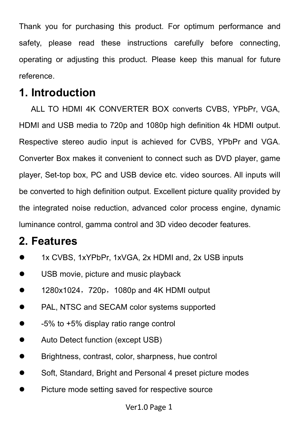Thank you for purchasing this product. For optimum performance and safety, please read these instructions carefully before connecting. operating or adjusting this product. Please keep this manual for future reference.

## **1. Introduction**

ALL TO HDMI 4K CONVERTER BOX converts CVBS, YPbPr, VGA, HDMI and USB media to 720p and 1080p high definition 4k HDMI output. Respective stereo audio input is achieved for CVBS, YPbPr and VGA. Converter Box makes it convenient to connect such as DVD player, game player, Set-top box, PC and USB device etc. video sources. All inputs will be converted to high definition output. Excellent picture quality provided by the integrated noise reduction, advanced color process engine, dynamic luminance control, gamma control and 3D video decoder features.

## **2. Features**

- 1x CVBS, 1xYPbPr, 1xVGA, 2x HDMI and, 2x USB inputs
- USB movie, picture and music playback
- 1280x1024, 720p, 1080p and 4K HDMI output
- PAL, NTSC and SECAM color systems supported
- -5% to +5% display ratio range control
- Auto Detect function (except USB)
- **•** Brightness, contrast, color, sharpness, hue control
- Soft, Standard, Bright and Personal 4 preset picture modes
- Picture mode setting saved for respective source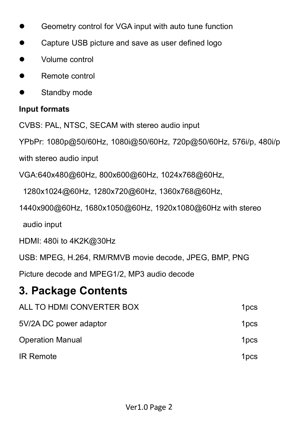- Geometry control for VGA input with auto tune function
- **Capture USB picture and save as user defined logo**
- Volume control
- **•** Remote control
- **Standby mode**

#### **Input formats**

CVBS: PAL, NTSC, SECAM with stereo audio input

YPbPr: 1080p@50/60Hz, 1080i@50/60Hz, 720p@50/60Hz, 576i/p, 480i/p with stereo audio input

VGA:640x480@60Hz, 800x600@60Hz, 1024x768@60Hz,

1280x1024@60Hz, 1280x720@60Hz, 1360x768@60Hz,

1440x900@60Hz, 1680x1050@60Hz, 1920x1080@60Hz with stereo

audio input

HDMI: 480i to 4K2K@30Hz

USB: MPEG, H.264, RM/RMVB movie decode, JPEG, BMP, PNG

Picture decode and MPEG1/2, MP3 audio decode

# **3. Package Contents**

| ALL TO HDMI CONVERTER BOX | 1 <sub>pcs</sub> |
|---------------------------|------------------|
| 5V/2A DC power adaptor    | 1 <sub>pcs</sub> |
| <b>Operation Manual</b>   | 1 <sub>pcs</sub> |
| <b>IR Remote</b>          | 1 <sub>pcs</sub> |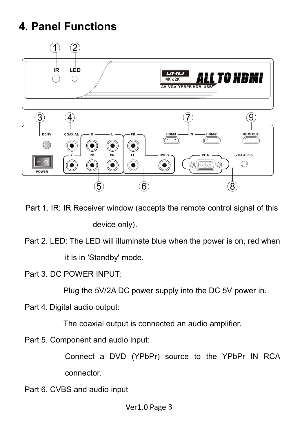# **4. Panel Functions**



Part 1. IR: IR Receiver window (accepts the remote control signal of this device only).

Part 2. LED: The LED will illuminate blue when the power is on, red when it is in 'Standby' mode.

Part 3. DC POWER INPUT:

Plug the 5V/2A DC power supply into the DC 5V power in.

Part 4. Digital audio output:

The coaxial output is connected an audio amplifier.

Part 5. Component and audio input:

Connect a DVD (YPbPr) source to the YPbPr IN RCA connector.

Part 6. CVBS and audio input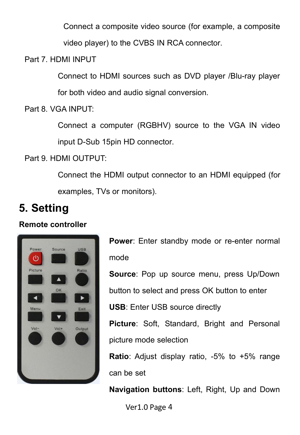Connect a composite video source (for example, a composite

video player) to the CVBS IN RCA connector.

Part 7. HDMI INPUT

Connect to HDMI sources such as DVD player /Blu-ray player

for both video and audio signal conversion.

Part 8. VGA INPUT:

Connect a computer (RGBHV) source to the VGA IN video input D-Sub 15pin HD connector.

Part 9. HDMI OUTPUT:

Connect the HDMI output connector to an HDMI equipped (for examples, TVs or monitors).

# **5. Setting**

#### **Remote controller**



**Power**: Enter standby mode or re-enter normal mode

**Source**: Pop up source menu, press Up/Down

button to select and press OK button to enter

**USB**: Enter USB source directly

**Picture**: Soft, Standard, Bright and Personal picture mode selection

**Ratio**: Adjust display ratio, -5% to +5% range can be set

**Navigation buttons**: Left, Right, Up and Down

Ver1.0 Page 4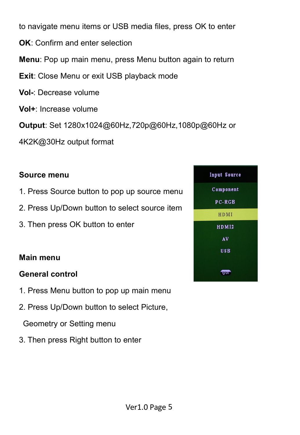to navigate menu items or USB media files, press OK to enter

- **OK**: Confirm and enter selection
- **Menu**: Pop up main menu, press Menu button again to return
- **Exit**: Close Menu or exit USB playback mode
- **Vol-**: Decrease volume
- **Vol+**: Increase volume

**Output**: Set 1280x1024@60Hz,720p@60Hz,1080p@60Hz or

4K2K@30Hz output format

#### **Source menu**

- 1. Press Source button to pop up source menu
- 2. Press Up/Down button to select source item
- 3. Then press OK button to enter

#### **Main menu**

#### **General control**

- 1. Press Menu button to pop up main menu
- 2. Press Up/Down button to select Picture,

Geometry or Setting menu

3. Then press Right button to enter

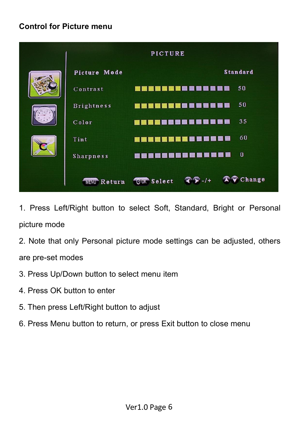#### **Control for Picture menu**



1. Press Left/Right button to select Soft, Standard, Bright or Personal picture mode

- 2. Note that only Personal picture mode settings can be adjusted, others are pre-set modes
- 3. Press Up/Down button to select menu item
- 4. Press OK button to enter
- 5. Then press Left/Right button to adjust
- 6. Press Menu button to return, or press Exit button to close menu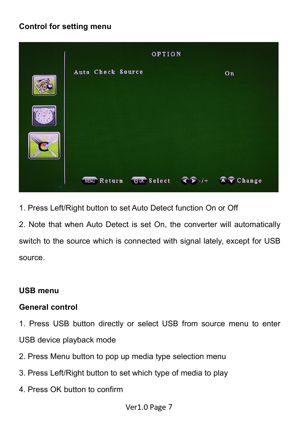#### **Control for setting menu**



1. Press Left/Right button to set Auto Detect function On or Off

2. Note that when Auto Detect is set On, the converter will automatically switch to the source which is connected with signal lately, except for USB source.

#### **USB menu**

#### **General control**

1. Press USB button directly or select USB from source menu to enter USB device playback mode

- 2. Press Menu button to pop up media type selection menu
- 3. Press Left/Right button to set which type of media to play
- 4. Press OK button to confirm

Ver1.0 Page 7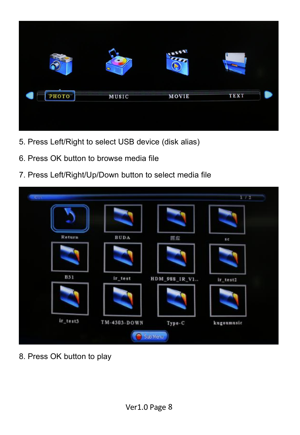

- 5. Press Left/Right to select USB device (disk alias)
- 6. Press OK button to browse media file
- 7. Press Left/Right/Up/Down button to select media file



8. Press OK button to play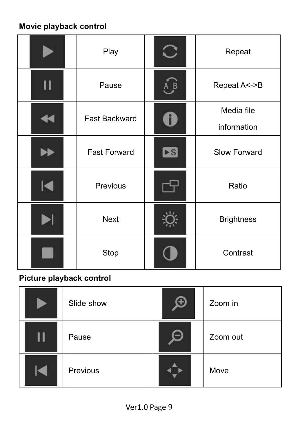## **Movie playback control**

|                       | Play                | $\bigcirc$              | Repeat                    |  |
|-----------------------|---------------------|-------------------------|---------------------------|--|
| П                     | Pause               | $\overline{B}$          | Repeat A<->B              |  |
| $\blacktriangleleft$  | Fast Backward       | $\ddot{\bullet}$        | Media file<br>information |  |
| ÞÐ                    | <b>Fast Forward</b> | $\blacktriangleright$ S | Slow Forward              |  |
| $ \blacktriangleleft$ | Previous            |                         | Ratio                     |  |
|                       | Next                |                         | <b>Brightness</b>         |  |
|                       | Stop                |                         | Contrast                  |  |

## **Picture playback control**

| Slide show | $\boldsymbol{\oplus}$ | Zoom in  |  |
|------------|-----------------------|----------|--|
| Pause      |                       | Zoom out |  |
| Previous   |                       | Move     |  |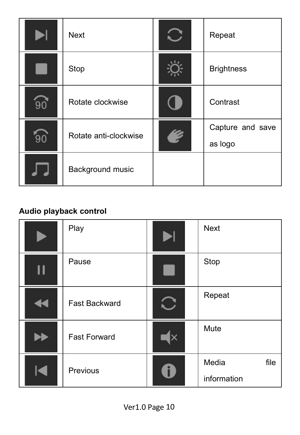|    | Next                  | Repeat            |  |
|----|-----------------------|-------------------|--|
|    | Stop                  | <b>Brightness</b> |  |
| 90 | Rotate clockwise      | Contrast          |  |
| 90 | Rotate anti-clockwise | Capture and save  |  |
|    |                       | as logo           |  |
|    | Background music      |                   |  |

## **Audio playback control**

|        | Play                |    | Next                         |  |
|--------|---------------------|----|------------------------------|--|
| II     | Pause               |    | Stop                         |  |
| ◀◀     | Fast Backward       |    | Repeat                       |  |
|        | <b>Fast Forward</b> | Ιx | Mute                         |  |
| $\leq$ | Previous            |    | Media<br>file<br>information |  |